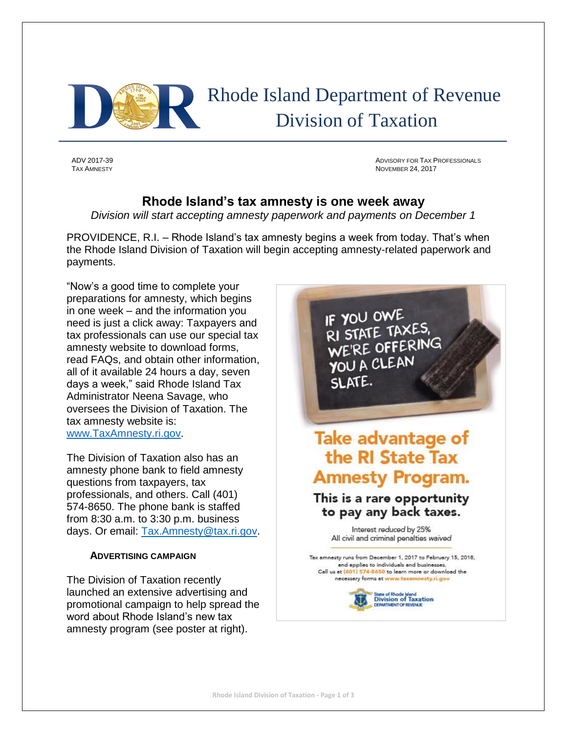

 Rhode Island Department of Revenue Division of Taxation

ADV 2017-39 ADVISORY FOR TAX PROFESSIONALS **NOVEMBER 24, 2017** 

## **Rhode Island's tax amnesty is one week away**

*Division will start accepting amnesty paperwork and payments on December 1*

PROVIDENCE, R.I. – Rhode Island's tax amnesty begins a week from today. That's when the Rhode Island Division of Taxation will begin accepting amnesty-related paperwork and payments.

"Now's a good time to complete your preparations for amnesty, which begins in one week – and the information you need is just a click away: Taxpayers and tax professionals can use our special tax amnesty website to download forms, read FAQs, and obtain other information, all of it available 24 hours a day, seven days a week," said Rhode Island Tax Administrator Neena Savage, who oversees the Division of Taxation. The tax amnesty website is: [www.TaxAmnesty.ri.gov.](http://www.taxamnesty.ri.gov/)

The Division of Taxation also has an amnesty phone bank to field amnesty questions from taxpayers, tax professionals, and others. Call (401) 574-8650. The phone bank is staffed from 8:30 a.m. to 3:30 p.m. business days. Or email: [Tax.Amnesty@tax.ri.gov.](mailto:Tax.Amnesty@tax.ri.gov)

## **ADVERTISING CAMPAIGN**

The Division of Taxation recently launched an extensive advertising and promotional campaign to help spread the word about Rhode Island's new tax amnesty program (see poster at right).

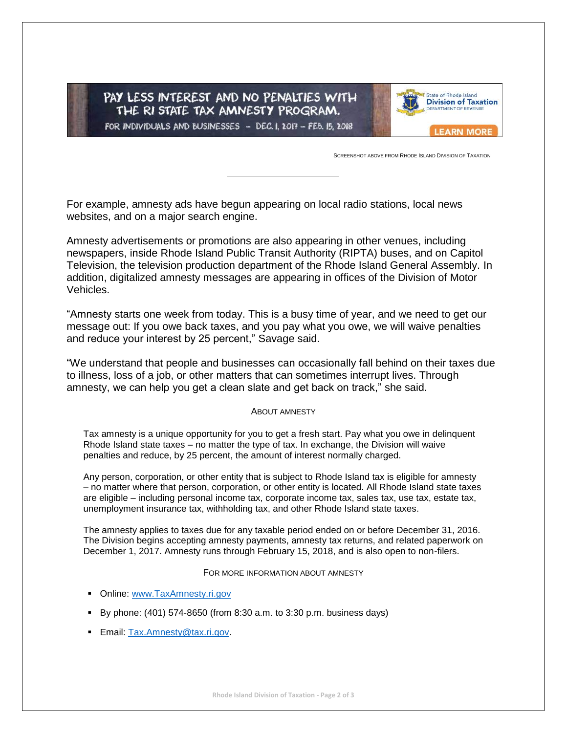PAY LESS INTEREST AND NO PENALTIES WITH THE RI STATE TAX AMNESTY PROGRAM. FOR INDIVIDUALS AND BUSINESSES - DEC. 1, 2017 - FEB. 15, 2018



SCREENSHOT ABOVE FROM RHODE ISLAND DIVISION OF TAXATION

For example, amnesty ads have begun appearing on local radio stations, local news websites, and on a major search engine.

Amnesty advertisements or promotions are also appearing in other venues, including newspapers, inside Rhode Island Public Transit Authority (RIPTA) buses, and on Capitol Television, the television production department of the Rhode Island General Assembly. In addition, digitalized amnesty messages are appearing in offices of the Division of Motor Vehicles.

"Amnesty starts one week from today. This is a busy time of year, and we need to get our message out: If you owe back taxes, and you pay what you owe, we will waive penalties and reduce your interest by 25 percent," Savage said.

"We understand that people and businesses can occasionally fall behind on their taxes due to illness, loss of a job, or other matters that can sometimes interrupt lives. Through amnesty, we can help you get a clean slate and get back on track," she said.

## ABOUT AMNESTY

Tax amnesty is a unique opportunity for you to get a fresh start. Pay what you owe in delinquent Rhode Island state taxes – no matter the type of tax. In exchange, the Division will waive penalties and reduce, by 25 percent, the amount of interest normally charged.

Any person, corporation, or other entity that is subject to Rhode Island tax is eligible for amnesty – no matter where that person, corporation, or other entity is located. All Rhode Island state taxes are eligible – including personal income tax, corporate income tax, sales tax, use tax, estate tax, unemployment insurance tax, withholding tax, and other Rhode Island state taxes.

The amnesty applies to taxes due for any taxable period ended on or before December 31, 2016. The Division begins accepting amnesty payments, amnesty tax returns, and related paperwork on December 1, 2017. Amnesty runs through February 15, 2018, and is also open to non-filers.

FOR MORE INFORMATION ABOUT AMNESTY

- Online: [www.TaxAmnesty.ri.gov](http://www.taxamnesty.ri.gov/)
- By phone:  $(401)$  574-8650 (from 8:30 a.m. to 3:30 p.m. business days)
- **Email: [Tax.Amnesty@tax.ri.gov.](mailto:Tax.Amnesty@tax.ri.gov)**